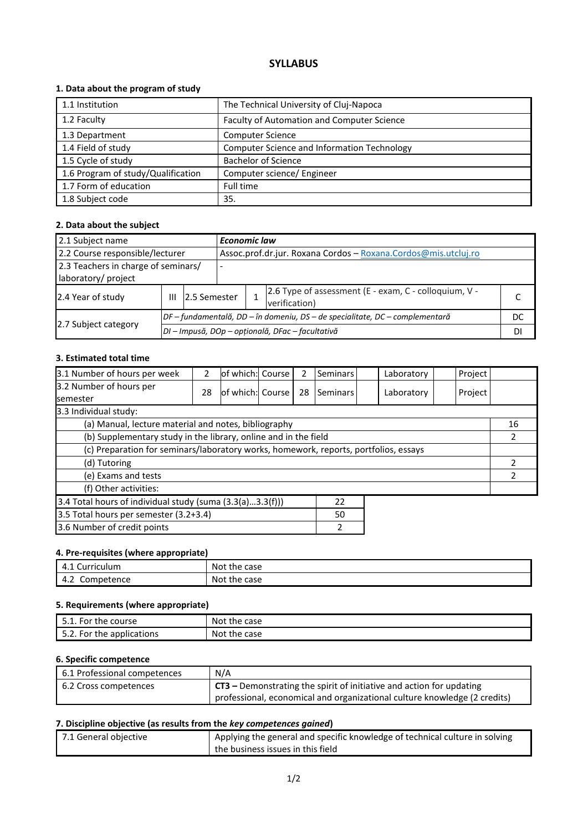# **SYLLABUS**

### **1. Data about the program of study**

| 1.1 Institution                    | The Technical University of Cluj-Napoca            |
|------------------------------------|----------------------------------------------------|
| 1.2 Faculty                        | Faculty of Automation and Computer Science         |
| 1.3 Department                     | <b>Computer Science</b>                            |
| 1.4 Field of study                 | <b>Computer Science and Information Technology</b> |
| 1.5 Cycle of study                 | <b>Bachelor of Science</b>                         |
| 1.6 Program of study/Qualification | Computer science/ Engineer                         |
| 1.7 Form of education              | Full time                                          |
| 1.8 Subject code                   | 35.                                                |

### **2. Data about the subject**

| 2.1 Subject name                                           |   |                                                  | <b>Economic law</b>                                                    |                                                                              |  |  |  |  |
|------------------------------------------------------------|---|--------------------------------------------------|------------------------------------------------------------------------|------------------------------------------------------------------------------|--|--|--|--|
| 2.2 Course responsible/lecturer                            |   |                                                  |                                                                        | Assoc.prof.dr.jur. Roxana Cordos - Roxana.Cordos@mis.utcluj.ro               |  |  |  |  |
| 2.3 Teachers in charge of seminars/<br>laboratory/ project |   |                                                  |                                                                        |                                                                              |  |  |  |  |
| 2.4 Year of study                                          | Ш | 2.5 Semester                                     | 2.6 Type of assessment (E - exam, C - colloquium, V -<br>verification) |                                                                              |  |  |  |  |
|                                                            |   |                                                  |                                                                        | DF – fundamentală, DD – în domeniu, DS – de specialitate, DC – complementară |  |  |  |  |
| 2.7 Subject category                                       |   | DI – Impusă, DOp – opțională, DFac – facultativă |                                                                        |                                                                              |  |  |  |  |

### **3. Estimated total time**

| 3.1 Number of hours per week                                                         | 2  | lof which: Course |  | 2  | <b>Seminars</b> |  | Laboratory | Project |    |
|--------------------------------------------------------------------------------------|----|-------------------|--|----|-----------------|--|------------|---------|----|
| 3.2 Number of hours per<br><b>semester</b>                                           | 28 | of which: Course  |  | 28 | Seminars        |  | Laboratory | Project |    |
| 3.3 Individual study:                                                                |    |                   |  |    |                 |  |            |         |    |
| (a) Manual, lecture material and notes, bibliography                                 |    |                   |  |    |                 |  |            |         | 16 |
| (b) Supplementary study in the library, online and in the field                      |    |                   |  |    |                 |  |            |         |    |
| (c) Preparation for seminars/laboratory works, homework, reports, portfolios, essays |    |                   |  |    |                 |  |            |         |    |
| (d) Tutoring                                                                         |    |                   |  |    |                 |  |            |         |    |
| (e) Exams and tests                                                                  |    |                   |  |    |                 |  |            |         |    |
| (f) Other activities:                                                                |    |                   |  |    |                 |  |            |         |    |
| 3.4 Total hours of individual study (suma (3.3(a)3.3(f)))<br>22                      |    |                   |  |    |                 |  |            |         |    |
| 3.5 Total hours per semester (3.2+3.4)<br>50                                         |    |                   |  |    |                 |  |            |         |    |
| 3.6 Number of credit points<br>2                                                     |    |                   |  |    |                 |  |            |         |    |

#### **4. Pre-requisites (where appropriate)**

| Curriculum | the case   |
|------------|------------|
| 4.L        | Not        |
| Competence | : the case |
| 4.Z        | Not        |

### **5. Requirements (where appropriate)**

| 5.1. For the course       | Not the case |
|---------------------------|--------------|
| 5.2. For the applications | Not the case |

### **6. Specific competence**

| 6.1 Professional competences | N/A                                                                                |
|------------------------------|------------------------------------------------------------------------------------|
| 6.2 Cross competences        | $\frac{1}{2}$ CT3 – Demonstrating the spirit of initiative and action for updating |
|                              | professional, economical and organizational culture knowledge (2 credits)          |

### **7. Discipline objective (as results from the** *key competences gained***)**

| 7.1 General objective | <sup>1</sup> Applying the general and specific knowledge of technical culture in solving |
|-----------------------|------------------------------------------------------------------------------------------|
|                       | the business issues in this field                                                        |